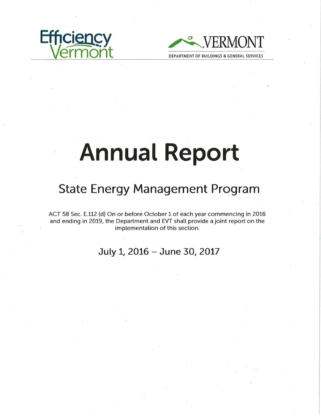



# **Annual Report**

# **State Energy Management Program**

ACT 58 Sec. E.112 (d) On or before October 1 of each year commencing in 2016 and ending in 2019, the Department and EVT shall provide a joint report on the implementation of this section.

**July 1, 2016 - June** 30, **2017**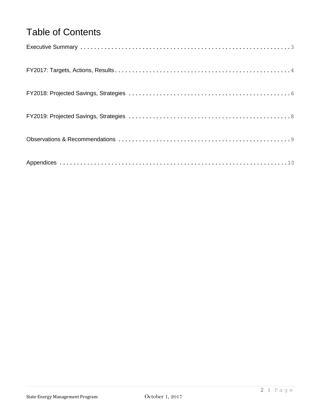# Table of Contents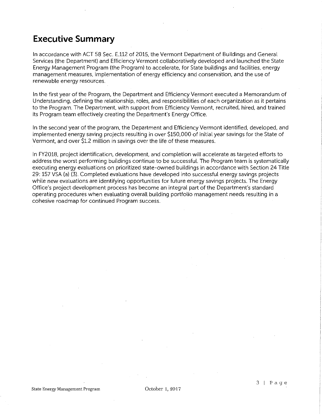### **Executive Summary**

In accordance with ACT 58 Sec. E.112 of 2015, the Vermont Department of Buildings and General Services (the Department) and Efficiency Vermont collaboratively developed and launched the State Energy Management Program (the Program) to accelerate, for State buildings and facilities, energy management measures, implementation of energy efficiency and conservation, and the use of renewable energy resources.

In the first year of the Program, the Department and Efficiency Vermont executed a Memorandum of Understanding, defining the relationship, roles, and responsibilities of each organization as it pertains to the Program. The Department, with support from Efficiency Vermont, recruited, hired, and trained its Program team effectively creating the Department's Energy Office.

In the second year of the program, the Department and Efficiency Vermont identified, developed, and implemented energy saving projects resulting in over \$150,000 of initial year savings for the State of Vermont, and over \$1.2 million in savings over the life of these measures.

In FY2018, project identification, development, and completion will accelerate as targeted efforts to address the worst performing buildings continue to be successful. The Program team is systematically executing energy evaluations on prioritized state-owned buildings in accordance with Section 24 Title 29: 157 VSA (a) (3). Completed evaluations have developed into successful energy savings projects while new evaluations are identifying opportunities for future energy savings projects. The Energy Office's project development process has become an integral part of the Department's standard operating procedures when evaluating overall building portfolio management needs resulting in a cohesive roadmap for continued Program success.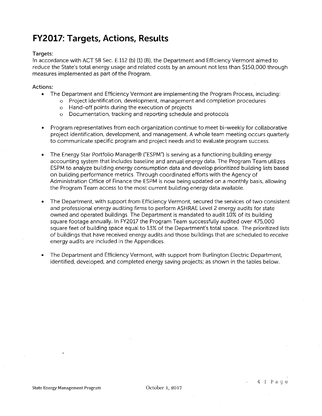### **FY2017: Targets, Actions, Results**

#### Targets:

In accordance with ACT 58 Sec. E.112 (b) (1) (B), the Department and Efficiency Vermont aimed to reduce the State's total energy usage and related costs by an amount not less than \$150,000 through measures implemented as part of the Program.

#### Actions:

- The Department and Efficiency Vermont are implementing the Program Process, including:
	- o Project identification, development, management and completion procedures
	- o Hand-off points during the execution of projects
	- o Documentation, tracking and reporting schedule and protocols
- Program representatives from each organization continue to meet bi-weekly for collaborative project identification, development, and management. A whole team meeting occurs quarterly to communicate specific program and project needs and to evaluate program success.
- The Energy Star Portfolio Manager® ("ESPM") is serving as a functioning building energy accounting system that includes baseline and annual energy data. The Program Team utilizes ESPM to analyze building energy consumption data and develop prioritized building lists based on building performance metrics. Through coordinated efforts with the Agency of Administration Office of Finance the ESPM is now being updated on a monthly basis, allowing the Program Team access to the most current building energy data available.
- The Department, with support from Efficiency Vermont, secured the services of two consistent and professional energy auditing firms to perform ASHRAE Level 2 energy audits for state owned and operated buildings. The Department is mandated to audit 10% of its building square footage annually. In FY2017 the Program Team successfully audited over 475,000 square feet of building space equal to 13% of the Department's total space. The prioritized lists of buildings that have received energy audits and those buildings that are scheduled to receive energy audits are included in the Appendices.
- The Department and Efficiency Vermont, with support from Burlington Electric Department, identified, developed, and completed energy saving projects; as shown in the tables below.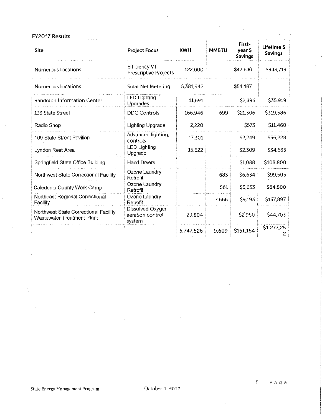FY2017 Results:

| Site                                                                | <b>Project Focus</b>                           | <b>KWH</b> | <b>MMBTU</b> | First-<br>year S<br><b>Savings</b> | Lifetime \$<br><b>Savings</b> |
|---------------------------------------------------------------------|------------------------------------------------|------------|--------------|------------------------------------|-------------------------------|
| Numerous locations                                                  | Efficiency VT<br><b>Prescriptive Projects</b>  | 122,000    |              | \$42,636                           | \$343,719                     |
| Numerous locations                                                  | Solar Net Metering                             | 5,381,942  |              | \$54,167                           |                               |
| Randolph Information Center                                         | <b>LED Lighting</b><br>Upgrades                | 11,691     |              | \$2,395                            | \$35,919                      |
| 133 State Street                                                    | <b>DDC Controls</b>                            | 166,946    | 699          | \$21,306                           | \$319,586                     |
| Radio Shop                                                          | <b>Lighting Upgrade</b>                        | 2,220      |              | \$573                              | \$11,460                      |
| 109 State Street Pavilion                                           | Advanced lighting,<br>controls                 | 17,301     |              | \$2,249                            | \$56,228                      |
| Lyndon Rest Area                                                    | <b>LED Lighting</b><br>Upgrade                 | 15,622     |              | \$2,309                            | \$34,635                      |
| Springfield State Office Building                                   | Hand Dryers                                    |            |              | \$1,088                            | \$108,800                     |
| Northwest State Correctional Facility                               | Ozone Laundry<br>Retrofit                      |            | 683          | S6 634                             | \$99,505                      |
| Caledonia County Work Camp                                          | Ozone Laundry<br>Retrofit                      |            | 561          | \$5,653                            | \$84,800                      |
| Northeast Regional Correctional<br>Facility                         | Ozone Laundry<br>Retrofit                      |            | 7,666        | \$9,193                            | \$137,897                     |
| Northwest State Correctional Facility<br>Wastewater Treatment Plant | Dissolved Oxygen<br>aeration control<br>system | 29,804     |              | \$2,980                            | \$44,703                      |
|                                                                     |                                                | 5,747,526  | 9,609        | \$151,184                          | S1,277,25                     |

 $\hat{\mathcal{A}}$  $\frac{1}{2}$  ,  $\frac{1}{2}$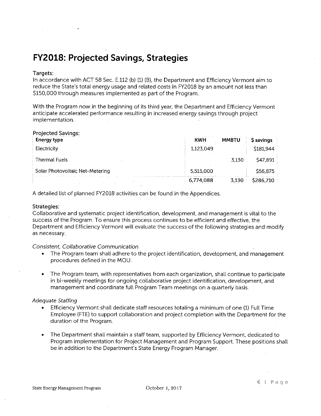## **FY2018: Projected Savings, Strategies**

#### Targets:

In accordance with ACT 58 Sec. E.112 (b) (1) (B), the Department and Efficiency Vermont aim to reduce the State's total energy usage and related costs in FY2018 by an amount not less than \$150,000 through measures implemented as part of the Program.

With the Program now in the beginning of its third year, the Department and Efficiency Vermont anticipate accelerated performance resulting in increased energy savings through project implementation.

| Projected Savings:              |                            |                      |
|---------------------------------|----------------------------|----------------------|
| <b>Energy type</b>              | <b>KWH</b><br><b>MMBTU</b> | \$ savings           |
| Electricity                     | 1,123,049                  | \$181,944            |
| Thermal Fuels                   | $\cdots$                   | 3.130<br>\$47,891    |
| Solar Photovoltaic Net-Metering | 5,515,000                  | \$56,875             |
|                                 | 6.774.088                  | thu i did an wasan t |

A detailed list of planned FY2018 activities can be found in the Appendices.

#### Strategies:

Collaborative and systematic project identification, development, and management is vital to the success of the Program. To ensure this process continues to be·efficient and effective, the Department and Efficiency Vermont will evaluate the success of the following strategies and modify as necessary.

#### Consistent, Collaborative Communication

- The Program team shall adhere to the project identification, development, and management procedures defined in the MOU.
- The Program team, with representatives from each organization, shall continue to participate in bi-weekly meetings for ongoing collaborative project identification, development, and management and coordinate full Program Team meetings on a quarterly basis.

#### Adequate Staffing

- Efficiency Vermont shall dedicate staff resources totaling a minimum of one (1) Full Time Employee (FTE) to support collaboration and project completion with the Department for the duration of the Program.
- The Department shall maintain a staff team, supported by Efficiency Vermont, dedicated to Program implementation for Project Management and Program Support. These positions shall be in addition to the Department's State Energy Program Manager.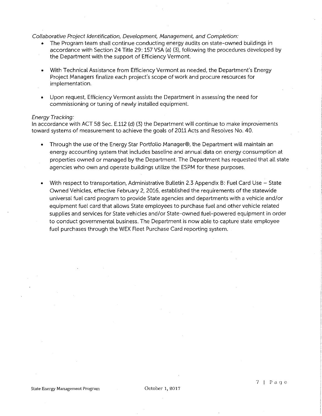#### Collaborative Project Identification. Development, Management, and Completion:

- The Program team shall continue conducting energy audits on state-owned buildings in accordance with Section 24 Title 29: 157 VSA (a) (3), following the procedures developed by the Department with the support of Efficiency Vermont.
- With Technical Assistance from Efficiency Vermont as needed, the Department's Energy Project Managers finalize each project's scope of work and procure resources for implementation.
- Upon request, Efficiency Vermont assists the Department in assessing the need for commissioning or tuning of newly installed equipment.

#### Energy Tracking:

In accordance with ACT 58 Sec. E.112 (d) (3) the Department will continue to make improvements toward systems of measurement to achieve the goals of 2011 Acts and Resolves No. 40.

- Through the use of the Energy Star Portfolio Manager®, the Department will maintain an energy accounting system that includes baseline and annual data on energy consumption at properties owned or managed by the Department. The Department has requested that all state agencies who own and operate buildings utilize the ESPM for these purposes.
- With respect to transportation, Administrative Bulletin 2.3 Appendix B: Fuel Card Use State Owned Vehicles, effective February 2, 2016, established the requirements of the statewide universal fuel card program to provide State agencies and departments with a vehicle and/or equipment fuel card that allows State employees to purchase fuel and other vehicle related supplies and services for State vehicles and/or State-owned fuel-powered equipment in order to conduct governmental business. The Department is now able to capture state employee fuel purchases through the WEX Fleet Purchase Card reporting system.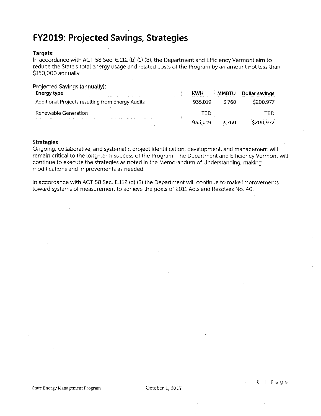# **FY2019: Projected Savings, Strategies**

#### Targets:

In accordance with ACT 58 Sec. E.112 (b) (1) (8), the Department and Efficiency Vermont aim to reduce the State's total energy usage and related costs of the Program by an amount not less than \$150,000 annually.

| Projected Savings (annually):                    |            |              |                |
|--------------------------------------------------|------------|--------------|----------------|
| <b>Energy type</b>                               | <b>KWH</b> | <b>MMBTU</b> | Dollar savings |
| Additional Projects resulting from Energy Audits | 935.019    | 3.760        | \$200,977      |
| Renewable Generation                             | TRD        |              | TBD            |
|                                                  | 935.019    | 3.760        | \$200.977      |

#### Strategies:

Ongoing, collaborative, and systematic project identification, development, and management will remain critical to the long-term success of the Program. The Department and Efficiency Vermont will continue to execute the strategies as noted in the Memorandum of Understanding, making modifications and improvements as needed.

In accordance with ACT 58 Sec. E.112 (d) (3) the Department will continue to make improvements toward systems of measurement to achieve the goals of 2011 Acts and Resolves No. 40.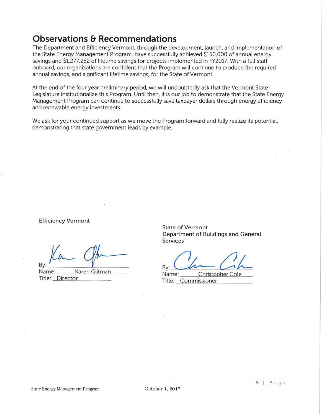### **Observations & Recommendations**

The Department and Efficiency Vermont. through the development. launch. and implementation of the State Energy Management Program, have successfully achieved \$150,000 of annual energy savings and \$1.277,252 of lifetime savings for projects implemented in FY2017. With a full staff onboard, our organizations are confident that the Program will continue to produce the required annual savings, and significant lifetime savings, for the State of Vermont.

At the end of the four year preliminary period, we will undoubtedly ask that the Vermont State Legislature institutionalize this Program. Until then, it is our job to demonstrate that the State Energy Management Program can continue to successfully save taxpayer dollars through energy efficiency and renewable energy investments.

We ask for your continued support as we move the Program forward and fully realize its potential, demonstrating that state government leads by example.

Efficiency Vermont

/{~ *qt,\_* 

Name: \_ \_ a~e=n~G=li~tm~a~n \_\_ \_ Title: Director

State of Vermont Department of Buildings and General Services

By:  $\frac{M}{\text{Name:}}$  Christopher Cole

Title: Commissioner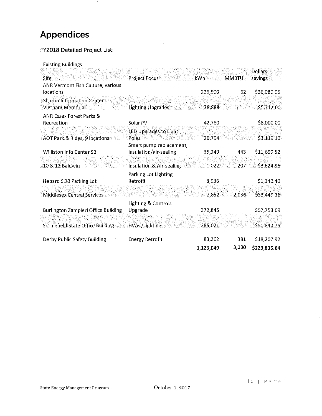# **Appendices**

#### FY2018 Detailed Project List:

Existing Buildings

|                                           |                              |           |       | <b>Dollars</b> |
|-------------------------------------------|------------------------------|-----------|-------|----------------|
| Site<br>ANR Vermont Fish Culture, various | <b>Project Focus</b>         | kwh:      | MMBTU | savings        |
| locations                                 |                              | 226,500   | 62    | \$36,080.95    |
| <b>Sharon Information Center</b>          |                              |           |       |                |
| Vietnam Memorial                          | <b>Lighting Upgrades</b>     | 38,888    |       | \$5,712.00     |
| <b>ANR Essex Forest Parks &amp;</b>       |                              |           |       |                |
| Recreation                                | Solar PV                     | 42,780    |       | \$8,000.00     |
|                                           | <b>LED Upgrades to Light</b> |           |       |                |
| <b>AOT Park &amp; Rides, 9 locations</b>  | Poles                        | 20,794    |       | \$3,119.10     |
|                                           | Smart pump replacement,      |           |       |                |
| Williston Info Center SB                  | insulation/air-sealing       | 35,149    | 443   | \$11,699.52    |
| 10 & 12 Baldwin                           | Insulation & Air-sealing     | 1,022     | 207   | \$3,624.96     |
|                                           | Parking Lot Lighting         |           |       |                |
| Hebard SOB Parking Lot                    | Retrofit                     | 8,936     |       | \$1,340.40     |
|                                           |                              |           |       |                |
| <b>Middlesex Central Services</b>         |                              | 7,852     | 2,036 | \$33,449.36    |
|                                           | Lighting & Controls          |           |       |                |
| Burlington Zampieri Office Building       | Upgrade                      | 372,845   |       | \$57,753.69    |
| <b>Springfield State Office Building</b>  | <b>HVAC/Lighting</b>         | 285,021   |       | \$50,847.75    |
|                                           |                              |           |       |                |
| Derby Public Safety Building              | <b>Energy Retrofit</b>       | 83,262    | 381   | \$18,207.92    |
|                                           |                              | 1,123,049 | 3,130 | \$229,835.64   |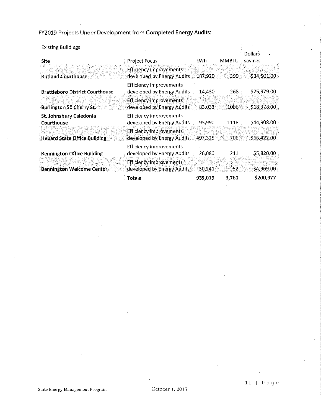FY2019 Projects Under Development from Completed Energy Audits:

| <b>Existing Buildings</b>              |                                                               |         |              |                           |
|----------------------------------------|---------------------------------------------------------------|---------|--------------|---------------------------|
| <b>Site</b>                            | <b>Project Focus</b>                                          | kWh.    | <b>MMBTU</b> | <b>Dollars</b><br>savings |
| <b>Rutland Courthouse</b>              | <b>Efficiency improvements</b><br>developed by Energy Audits  | 187,920 | 399.         | \$34,501.00               |
| <b>Brattleboro District Courthouse</b> | <b>Efficiency improvements</b><br>developed by Energy Audits  | 14,430  | 268          | \$25,979.00               |
| <b>Burlington 50 Cherry St.</b>        | <b>Efficiency improvements</b><br>developed by Energy Audits. | 83,033  | 1006.        | \$18,378.00               |
| St. Johnsbury Caledonia<br>Courthouse  | <b>Efficiency improvements</b><br>developed by Energy Audits  | 95,990  | 1118         | \$44,908.00               |
| <b>Hebard State Office Building</b>    | <b>Efficiency improvements</b><br>developed by Energy Audits  | 497,325 | 706          | \$66,422.00               |
| <b>Bennington Office Building</b>      | <b>Efficiency improvements</b><br>developed by Energy Audits  | 26,080  | 211          | \$5,820.00                |
| <b>Bennington Welcome Center</b>       | <b>Efficiency improvements</b><br>developed by Energy Audits  | 30,241  | 52           | \$4,969.00                |
|                                        | Totals                                                        | 935,019 | 3,760        | \$200,977                 |

 $\ddot{\phantom{a}}$